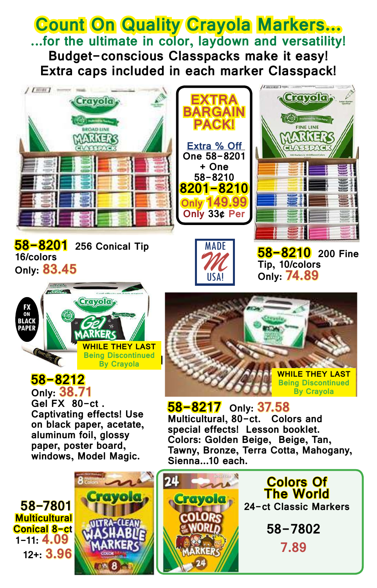**Count On Quality Crayola Markers... ...for the ultimate in color, laydown and versatility! Budget-conscious Classpacks make it easy! Extra caps included in each marker Classpack!**







**EXTRA**

**BARGAIN PACK!**

**Extra % Off One 58-8201 + One 58-8210**

**Only 149.99 Only 33¢ Per** 



Crayola,

Preferred by Teachers **FINE LINE** 



### **58-8212**

**Only: 38.71 Gel FX 80-ct . Captivating effects! Use on black paper, acetate, aluminum foil, glossy paper, poster board, windows, Model Magic.**







**58-8217 Only: 37.58 Multicultural, 80-ct. special effects! Lesson booklet. Colors: Golden Beige, Beige, Tan, Tawny, Bronze, Terra Cotta, Mahogany, Sienna...10 each.**





**7.89**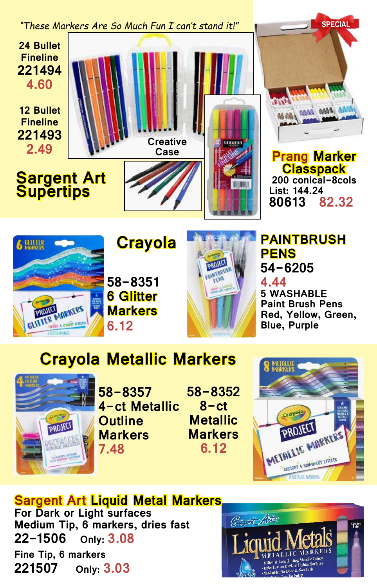



**Crayola**



#### **PAINTBRUSH PENS 54-6205**

**4.44 5 WASHABLE Paint Brush Pens Red, Yellow, Green, Blue, Purple**

## **Crayola Metallic Markers**



**58-8357 4-ct Metallic Outline Markers 7.48**

**58-8352 8-ct Metallic Markers 6.12**



### **Sargent Art Liquid Metal Markers**

**For Dark or Light surfaces Medium Tip, 6 markers, dries fast 22-1506 Only: 3.08 Fine Tip, 6 markers 221507 Only: 3.03**

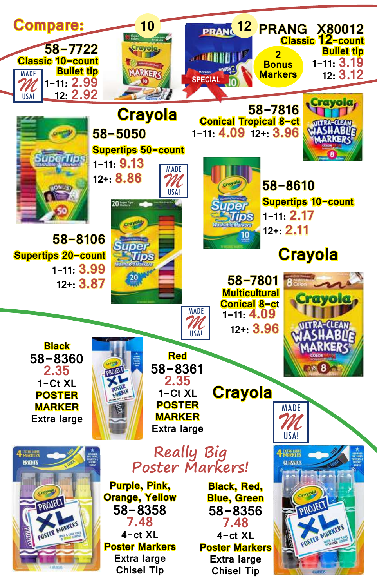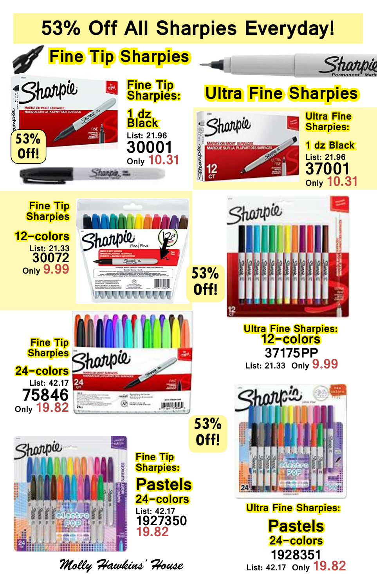